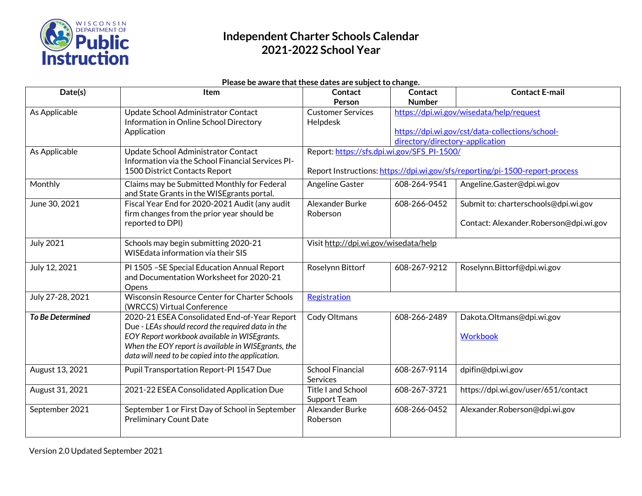

#### **Please be aware that these dates are subject to change.**

| Date(s)                 | Item                                                                                              | Contact                                                                      | Contact                         | <b>Contact E-mail</b>                           |  |
|-------------------------|---------------------------------------------------------------------------------------------------|------------------------------------------------------------------------------|---------------------------------|-------------------------------------------------|--|
|                         |                                                                                                   | Person                                                                       | <b>Number</b>                   |                                                 |  |
| As Applicable           | Update School Administrator Contact                                                               | https://dpi.wi.gov/wisedata/help/request<br><b>Customer Services</b>         |                                 |                                                 |  |
|                         | Information in Online School Directory                                                            | Helpdesk                                                                     |                                 |                                                 |  |
|                         | Application                                                                                       |                                                                              |                                 | https://dpi.wi.gov/cst/data-collections/school- |  |
|                         |                                                                                                   |                                                                              | directory/directory-application |                                                 |  |
| As Applicable           | Update School Administrator Contact<br>Information via the School Financial Services PI-          | Report: https://sfs.dpi.wi.gov/SFS_PI-1500/                                  |                                 |                                                 |  |
|                         | 1500 District Contacts Report                                                                     | Report Instructions: https://dpi.wi.gov/sfs/reporting/pi-1500-report-process |                                 |                                                 |  |
|                         |                                                                                                   |                                                                              |                                 |                                                 |  |
| Monthly                 | Claims may be Submitted Monthly for Federal<br>and State Grants in the WISE grants portal.        | Angeline Gaster                                                              | 608-264-9541                    | Angeline.Gaster@dpi.wi.gov                      |  |
| June 30, 2021           | Fiscal Year End for 2020-2021 Audit (any audit                                                    | Alexander Burke                                                              | 608-266-0452                    | Submit to: charterschools@dpi.wi.gov            |  |
|                         | firm changes from the prior year should be                                                        | Roberson                                                                     |                                 |                                                 |  |
|                         | reported to DPI)                                                                                  |                                                                              |                                 | Contact: Alexander.Roberson@dpi.wi.gov          |  |
| <b>July 2021</b>        | Schools may begin submitting 2020-21                                                              | Visit http://dpi.wi.gov/wisedata/help                                        |                                 |                                                 |  |
|                         | WISE data information via their SIS                                                               |                                                                              |                                 |                                                 |  |
| July 12, 2021           | PI 1505 - SE Special Education Annual Report                                                      | Roselynn Bittorf                                                             | 608-267-9212                    | Roselynn.Bittorf@dpi.wi.gov                     |  |
|                         | and Documentation Worksheet for 2020-21                                                           |                                                                              |                                 |                                                 |  |
|                         | Opens                                                                                             |                                                                              |                                 |                                                 |  |
| July 27-28, 2021        | Wisconsin Resource Center for Charter Schools                                                     | Registration                                                                 |                                 |                                                 |  |
|                         | (WRCCS) Virtual Conference                                                                        |                                                                              |                                 |                                                 |  |
| <b>To Be Determined</b> | 2020-21 ESEA Consolidated End-of-Year Report<br>Due - LEAs should record the required data in the | Cody Oltmans                                                                 | 608-266-2489                    | Dakota.Oltmans@dpi.wi.gov                       |  |
|                         | EOY Report workbook available in WISEgrants.                                                      |                                                                              |                                 | <b>Workbook</b>                                 |  |
|                         | When the EOY report is available in WISE grants, the                                              |                                                                              |                                 |                                                 |  |
|                         | data will need to be copied into the application.                                                 |                                                                              |                                 |                                                 |  |
| August 13, 2021         | Pupil Transportation Report-PI 1547 Due                                                           | <b>School Financial</b>                                                      | 608-267-9114                    | dpifin@dpi.wi.gov                               |  |
|                         |                                                                                                   | <b>Services</b>                                                              |                                 |                                                 |  |
| August 31, 2021         | 2021-22 ESEA Consolidated Application Due                                                         | <b>Title I and School</b>                                                    | 608-267-3721                    | https://dpi.wi.gov/user/651/contact             |  |
|                         |                                                                                                   | Support Team                                                                 |                                 |                                                 |  |
| September 2021          | September 1 or First Day of School in September                                                   | Alexander Burke                                                              | 608-266-0452                    | Alexander.Roberson@dpi.wi.gov                   |  |
|                         | <b>Preliminary Count Date</b>                                                                     | Roberson                                                                     |                                 |                                                 |  |
|                         |                                                                                                   |                                                                              |                                 |                                                 |  |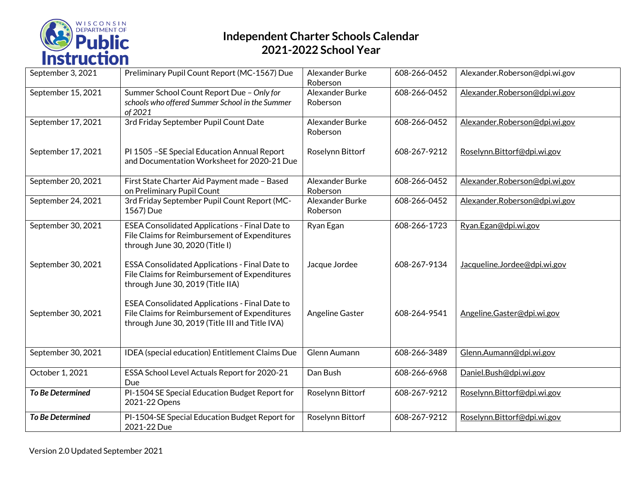

| September 3, 2021       | Preliminary Pupil Count Report (MC-1567) Due                                                                                                              | Alexander Burke<br>Roberson | 608-266-0452 | Alexander.Roberson@dpi.wi.gov |
|-------------------------|-----------------------------------------------------------------------------------------------------------------------------------------------------------|-----------------------------|--------------|-------------------------------|
| September 15, 2021      | Summer School Count Report Due - Only for<br>schools who offered Summer School in the Summer<br>of 2021                                                   | Alexander Burke<br>Roberson | 608-266-0452 | Alexander.Roberson@dpi.wi.gov |
| September 17, 2021      | 3rd Friday September Pupil Count Date                                                                                                                     | Alexander Burke<br>Roberson | 608-266-0452 | Alexander.Roberson@dpi.wi.gov |
| September 17, 2021      | PI 1505 - SE Special Education Annual Report<br>and Documentation Worksheet for 2020-21 Due                                                               | Roselynn Bittorf            | 608-267-9212 | Roselynn.Bittorf@dpi.wi.gov   |
| September 20, 2021      | First State Charter Aid Payment made - Based<br>on Preliminary Pupil Count                                                                                | Alexander Burke<br>Roberson | 608-266-0452 | Alexander.Roberson@dpi.wi.gov |
| September 24, 2021      | 3rd Friday September Pupil Count Report (MC-<br>1567) Due                                                                                                 | Alexander Burke<br>Roberson | 608-266-0452 | Alexander.Roberson@dpi.wi.gov |
| September 30, 2021      | ESEA Consolidated Applications - Final Date to<br>File Claims for Reimbursement of Expenditures<br>through June 30, 2020 (Title I)                        | Ryan Egan                   | 608-266-1723 | Ryan.Egan@dpi.wi.gov          |
| September 30, 2021      | <b>ESSA Consolidated Applications - Final Date to</b><br>File Claims for Reimbursement of Expenditures<br>through June 30, 2019 (Title IIA)               | Jacque Jordee               | 608-267-9134 | Jacqueline.Jordee@dpi.wi.gov  |
| September 30, 2021      | <b>ESEA Consolidated Applications - Final Date to</b><br>File Claims for Reimbursement of Expenditures<br>through June 30, 2019 (Title III and Title IVA) | Angeline Gaster             | 608-264-9541 | Angeline.Gaster@dpi.wi.gov    |
| September 30, 2021      | IDEA (special education) Entitlement Claims Due                                                                                                           | Glenn Aumann                | 608-266-3489 | Glenn.Aumann@dpi.wi.gov       |
| October 1, 2021         | ESSA School Level Actuals Report for 2020-21<br>Due                                                                                                       | Dan Bush                    | 608-266-6968 | Daniel.Bush@dpi.wi.gov        |
| <b>To Be Determined</b> | PI-1504 SE Special Education Budget Report for<br>2021-22 Opens                                                                                           | Roselynn Bittorf            | 608-267-9212 | Roselynn.Bittorf@dpi.wi.gov   |
| To Be Determined        | PI-1504-SE Special Education Budget Report for<br>2021-22 Due                                                                                             | Roselynn Bittorf            | 608-267-9212 | Roselynn.Bittorf@dpi.wi.gov   |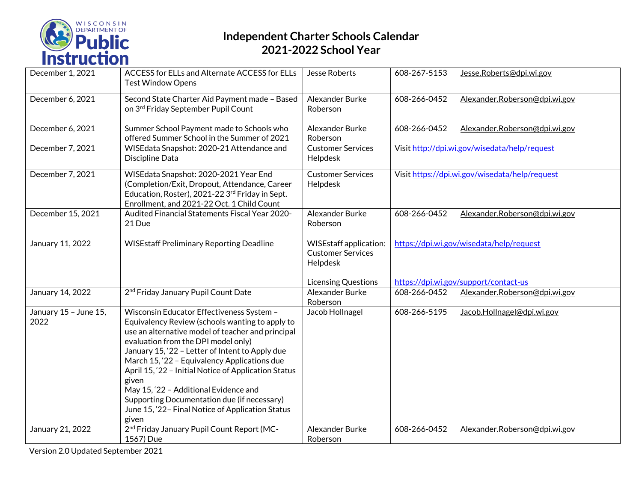

| December 1, 2021              | ACCESS for ELLs and Alternate ACCESS for ELLs<br><b>Test Window Opens</b>                                                                                                                                                                                                                                                                                                                                                                                                                                         | <b>Jesse Roberts</b>                                                  | 608-267-5153                                   | Jesse.Roberts@dpi.wi.gov              |
|-------------------------------|-------------------------------------------------------------------------------------------------------------------------------------------------------------------------------------------------------------------------------------------------------------------------------------------------------------------------------------------------------------------------------------------------------------------------------------------------------------------------------------------------------------------|-----------------------------------------------------------------------|------------------------------------------------|---------------------------------------|
| December 6, 2021              | Second State Charter Aid Payment made - Based<br>on 3rd Friday September Pupil Count                                                                                                                                                                                                                                                                                                                                                                                                                              | Alexander Burke<br>Roberson                                           | 608-266-0452                                   | Alexander.Roberson@dpi.wi.gov         |
| December 6, 2021              | Summer School Payment made to Schools who<br>offered Summer School in the Summer of 2021                                                                                                                                                                                                                                                                                                                                                                                                                          | Alexander Burke<br>Roberson                                           | 608-266-0452                                   | Alexander.Roberson@dpi.wi.gov         |
| December 7, 2021              | WISEdata Snapshot: 2020-21 Attendance and<br>Discipline Data                                                                                                                                                                                                                                                                                                                                                                                                                                                      | <b>Customer Services</b><br>Helpdesk                                  | Visit http://dpi.wi.gov/wisedata/help/request  |                                       |
| December 7, 2021              | WISEdata Snapshot: 2020-2021 Year End<br>(Completion/Exit, Dropout, Attendance, Career<br>Education, Roster), 2021-22 3rd Friday in Sept.<br>Enrollment, and 2021-22 Oct. 1 Child Count                                                                                                                                                                                                                                                                                                                           | <b>Customer Services</b><br>Helpdesk                                  | Visit https://dpi.wi.gov/wisedata/help/request |                                       |
| December 15, 2021             | Audited Financial Statements Fiscal Year 2020-<br>21 Due                                                                                                                                                                                                                                                                                                                                                                                                                                                          | Alexander Burke<br>Roberson                                           | 608-266-0452                                   | Alexander.Roberson@dpi.wi.gov         |
| January 11, 2022              | <b>WISEstaff Preliminary Reporting Deadline</b>                                                                                                                                                                                                                                                                                                                                                                                                                                                                   | <b>WISEstaff application:</b><br><b>Customer Services</b><br>Helpdesk | https://dpi.wi.gov/wisedata/help/request       |                                       |
|                               |                                                                                                                                                                                                                                                                                                                                                                                                                                                                                                                   | Licensing Questions                                                   |                                                | https://dpi.wi.gov/support/contact-us |
| January 14, 2022              | 2 <sup>nd</sup> Friday January Pupil Count Date                                                                                                                                                                                                                                                                                                                                                                                                                                                                   | Alexander Burke<br>Roberson                                           | 608-266-0452                                   | Alexander.Roberson@dpi.wi.gov         |
| January 15 - June 15,<br>2022 | Wisconsin Educator Effectiveness System -<br>Equivalency Review (schools wanting to apply to<br>use an alternative model of teacher and principal<br>evaluation from the DPI model only)<br>January 15, '22 - Letter of Intent to Apply due<br>March 15, '22 - Equivalency Applications due<br>April 15, '22 - Initial Notice of Application Status<br>given<br>May 15, '22 - Additional Evidence and<br>Supporting Documentation due (if necessary)<br>June 15, '22- Final Notice of Application Status<br>given | Jacob Hollnagel                                                       | 608-266-5195                                   | Jacob.Hollnagel@dpi.wi.gov            |
| January 21, 2022              | 2 <sup>nd</sup> Friday January Pupil Count Report (MC-<br>1567) Due                                                                                                                                                                                                                                                                                                                                                                                                                                               | Alexander Burke<br>Roberson                                           | 608-266-0452                                   | Alexander.Roberson@dpi.wi.gov         |

Version 2.0 Updated September 2021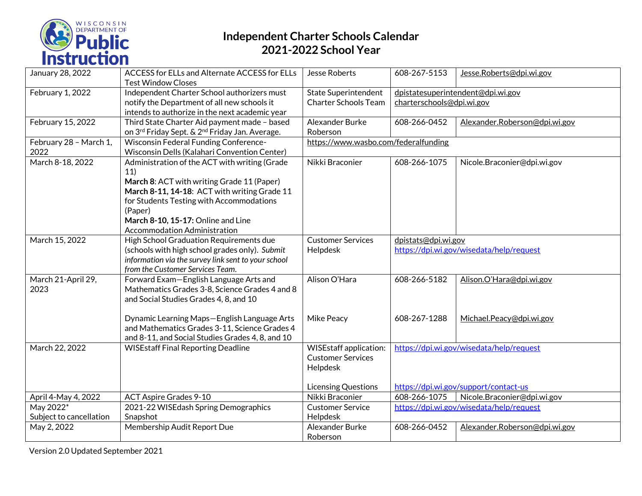

| January 28, 2022        | ACCESS for ELLs and Alternate ACCESS for ELLs<br><b>Test Window Closes</b> | Jesse Roberts                                             | 608-267-5153                                                    | Jesse.Roberts@dpi.wi.gov              |  |
|-------------------------|----------------------------------------------------------------------------|-----------------------------------------------------------|-----------------------------------------------------------------|---------------------------------------|--|
| February 1, 2022        | Independent Charter School authorizers must                                | <b>State Superintendent</b>                               |                                                                 | dpistatesuperintendent@dpi.wi.gov     |  |
|                         | notify the Department of all new schools it                                | <b>Charter Schools Team</b>                               | charterschools@dpi.wi.gov                                       |                                       |  |
|                         | intends to authorize in the next academic year                             |                                                           |                                                                 |                                       |  |
| February 15, 2022       | Third State Charter Aid payment made - based                               | Alexander Burke                                           | 608-266-0452                                                    | Alexander.Roberson@dpi.wi.gov         |  |
|                         | on 3rd Friday Sept. & 2 <sup>nd</sup> Friday Jan. Average.                 | Roberson                                                  |                                                                 |                                       |  |
| February 28 - March 1,  | <b>Wisconsin Federal Funding Conference-</b>                               | https://www.wasbo.com/federalfunding                      |                                                                 |                                       |  |
| 2022                    | Wisconsin Dells (Kalahari Convention Center)                               |                                                           |                                                                 |                                       |  |
| March 8-18, 2022        | Administration of the ACT with writing (Grade                              | Nikki Braconier                                           | 608-266-1075                                                    | Nicole.Braconier@dpi.wi.gov           |  |
|                         | 11)                                                                        |                                                           |                                                                 |                                       |  |
|                         | March 8: ACT with writing Grade 11 (Paper)                                 |                                                           |                                                                 |                                       |  |
|                         | March 8-11, 14-18: ACT with writing Grade 11                               |                                                           |                                                                 |                                       |  |
|                         | for Students Testing with Accommodations                                   |                                                           |                                                                 |                                       |  |
|                         | (Paper)                                                                    |                                                           |                                                                 |                                       |  |
|                         | March 8-10, 15-17: Online and Line                                         |                                                           |                                                                 |                                       |  |
|                         | Accommodation Administration                                               |                                                           |                                                                 |                                       |  |
| March 15, 2022          | High School Graduation Requirements due                                    | <b>Customer Services</b>                                  |                                                                 |                                       |  |
|                         |                                                                            |                                                           | dpistats@dpi.wi.gov<br>https://dpi.wi.gov/wisedata/help/request |                                       |  |
|                         | (schools with high school grades only). Submit                             | Helpdesk                                                  |                                                                 |                                       |  |
|                         | information via the survey link sent to your school                        |                                                           |                                                                 |                                       |  |
|                         | from the Customer Services Team.                                           |                                                           |                                                                 |                                       |  |
| March 21-April 29,      | Forward Exam-English Language Arts and                                     | Alison O'Hara                                             | 608-266-5182                                                    | Alison.O'Hara@dpi.wi.gov              |  |
| 2023                    | Mathematics Grades 3-8, Science Grades 4 and 8                             |                                                           |                                                                 |                                       |  |
|                         | and Social Studies Grades 4, 8, and 10                                     |                                                           |                                                                 |                                       |  |
|                         |                                                                            |                                                           |                                                                 |                                       |  |
|                         | Dynamic Learning Maps-English Language Arts                                | Mike Peacy                                                | 608-267-1288                                                    | Michael.Peacy@dpi.wi.gov              |  |
|                         | and Mathematics Grades 3-11, Science Grades 4                              |                                                           |                                                                 |                                       |  |
|                         | and 8-11, and Social Studies Grades 4, 8, and 10                           |                                                           |                                                                 |                                       |  |
| March 22, 2022          | <b>WISEstaff Final Reporting Deadline</b>                                  | <b>WISEstaff application:</b><br><b>Customer Services</b> | https://dpi.wi.gov/wisedata/help/request                        |                                       |  |
|                         |                                                                            |                                                           |                                                                 |                                       |  |
|                         |                                                                            | Helpdesk                                                  |                                                                 |                                       |  |
|                         |                                                                            |                                                           |                                                                 |                                       |  |
|                         |                                                                            | Licensing Questions                                       |                                                                 | https://dpi.wi.gov/support/contact-us |  |
| April 4-May 4, 2022     | <b>ACT Aspire Grades 9-10</b>                                              | Nikki Braconier                                           | 608-266-1075                                                    | Nicole.Braconier@dpi.wi.gov           |  |
| May 2022 <sup>*</sup>   | 2021-22 WISEdash Spring Demographics                                       | <b>Customer Service</b>                                   | https://dpi.wi.gov/wisedata/help/request                        |                                       |  |
| Subject to cancellation | Snapshot                                                                   | Helpdesk                                                  |                                                                 |                                       |  |
| May 2, 2022             | Membership Audit Report Due                                                | Alexander Burke                                           | 608-266-0452                                                    | Alexander.Roberson@dpi.wi.gov         |  |
|                         |                                                                            | Roberson                                                  |                                                                 |                                       |  |